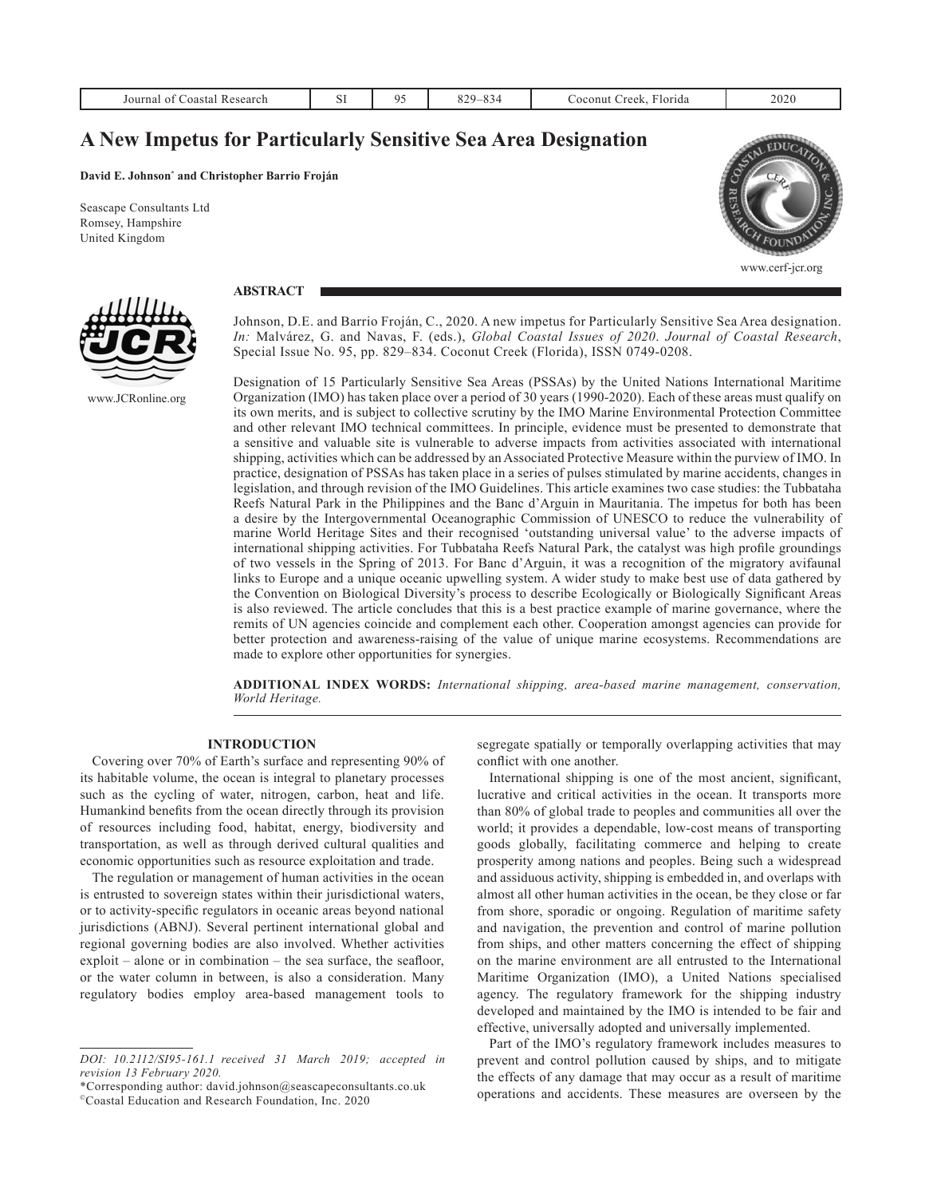| ourna<br>0.01<br>earcn<br>JAN JA<br>. | $\sim$ $\sim$<br>υı | $\sim$ $\sim$<br>∼د | 2 J C<br>--<br>-- - | ⊡orida<br>ווומר<br>raa<br>റല<br>__ | 2020 |
|---------------------------------------|---------------------|---------------------|---------------------|------------------------------------|------|
|                                       |                     |                     |                     |                                    |      |

# **A New Impetus for Particularly Sensitive Sea Area Designation**

#### **David E. Johnson\* and Christopher Barrio Froján**

**ABSTRACT**

Seascape Consultants Ltd Romsey, Hampshire United Kingdom



www.cerf-jcr.org



www.JCRonline.org

Johnson, D.E. and Barrio Froján, C., 2020. A new impetus for Particularly Sensitive Sea Area designation. *In:* Malvárez, G. and Navas, F. (eds.), *Global Coastal Issues of 2020*. *Journal of Coastal Research*, Special Issue No. 95, pp. 829–834. Coconut Creek (Florida), ISSN 0749-0208.

Designation of 15 Particularly Sensitive Sea Areas (PSSAs) by the United Nations International Maritime Organization (IMO) has taken place over a period of 30 years (1990-2020). Each of these areas must qualify on its own merits, and is subject to collective scrutiny by the IMO Marine Environmental Protection Committee and other relevant IMO technical committees. In principle, evidence must be presented to demonstrate that a sensitive and valuable site is vulnerable to adverse impacts from activities associated with international shipping, activities which can be addressed by an Associated Protective Measure within the purview of IMO. In practice, designation of PSSAs has taken place in a series of pulses stimulated by marine accidents, changes in legislation, and through revision of the IMO Guidelines. This article examines two case studies: the Tubbataha Reefs Natural Park in the Philippines and the Banc d'Arguin in Mauritania. The impetus for both has been a desire by the Intergovernmental Oceanographic Commission of UNESCO to reduce the vulnerability of marine World Heritage Sites and their recognised 'outstanding universal value' to the adverse impacts of international shipping activities. For Tubbataha Reefs Natural Park, the catalyst was high profile groundings of two vessels in the Spring of 2013. For Banc d'Arguin, it was a recognition of the migratory avifaunal links to Europe and a unique oceanic upwelling system. A wider study to make best use of data gathered by the Convention on Biological Diversity's process to describe Ecologically or Biologically Significant Areas is also reviewed. The article concludes that this is a best practice example of marine governance, where the remits of UN agencies coincide and complement each other. Cooperation amongst agencies can provide for better protection and awareness-raising of the value of unique marine ecosystems. Recommendations are made to explore other opportunities for synergies.

**ADDITIONAL INDEX WORDS:** *International shipping, area-based marine management, conservation, World Heritage.*

# **INTRODUCTION**

Covering over 70% of Earth's surface and representing 90% of its habitable volume, the ocean is integral to planetary processes such as the cycling of water, nitrogen, carbon, heat and life. Humankind benefits from the ocean directly through its provision of resources including food, habitat, energy, biodiversity and transportation, as well as through derived cultural qualities and economic opportunities such as resource exploitation and trade.

The regulation or management of human activities in the ocean is entrusted to sovereign states within their jurisdictional waters, or to activity-specific regulators in oceanic areas beyond national jurisdictions (ABNJ). Several pertinent international global and regional governing bodies are also involved. Whether activities exploit – alone or in combination – the sea surface, the seafloor, or the water column in between, is also a consideration. Many regulatory bodies employ area-based management tools to

\*Corresponding author: david.johnson@seascapeconsultants.co.uk

segregate spatially or temporally overlapping activities that may conflict with one another.

International shipping is one of the most ancient, significant, lucrative and critical activities in the ocean. It transports more than 80% of global trade to peoples and communities all over the world; it provides a dependable, low-cost means of transporting goods globally, facilitating commerce and helping to create prosperity among nations and peoples. Being such a widespread and assiduous activity, shipping is embedded in, and overlaps with almost all other human activities in the ocean, be they close or far from shore, sporadic or ongoing. Regulation of maritime safety and navigation, the prevention and control of marine pollution from ships, and other matters concerning the effect of shipping on the marine environment are all entrusted to the International Maritime Organization (IMO), a United Nations specialised agency. The regulatory framework for the shipping industry developed and maintained by the IMO is intended to be fair and effective, universally adopted and universally implemented.

Part of the IMO's regulatory framework includes measures to prevent and control pollution caused by ships, and to mitigate the effects of any damage that may occur as a result of maritime operations and accidents. These measures are overseen by the

*DOI: 10.2112/SI95-161.1 received 31 March 2019; accepted in revision 13 February 2020.*

<sup>©</sup>Coastal Education and Research Foundation, Inc. 2020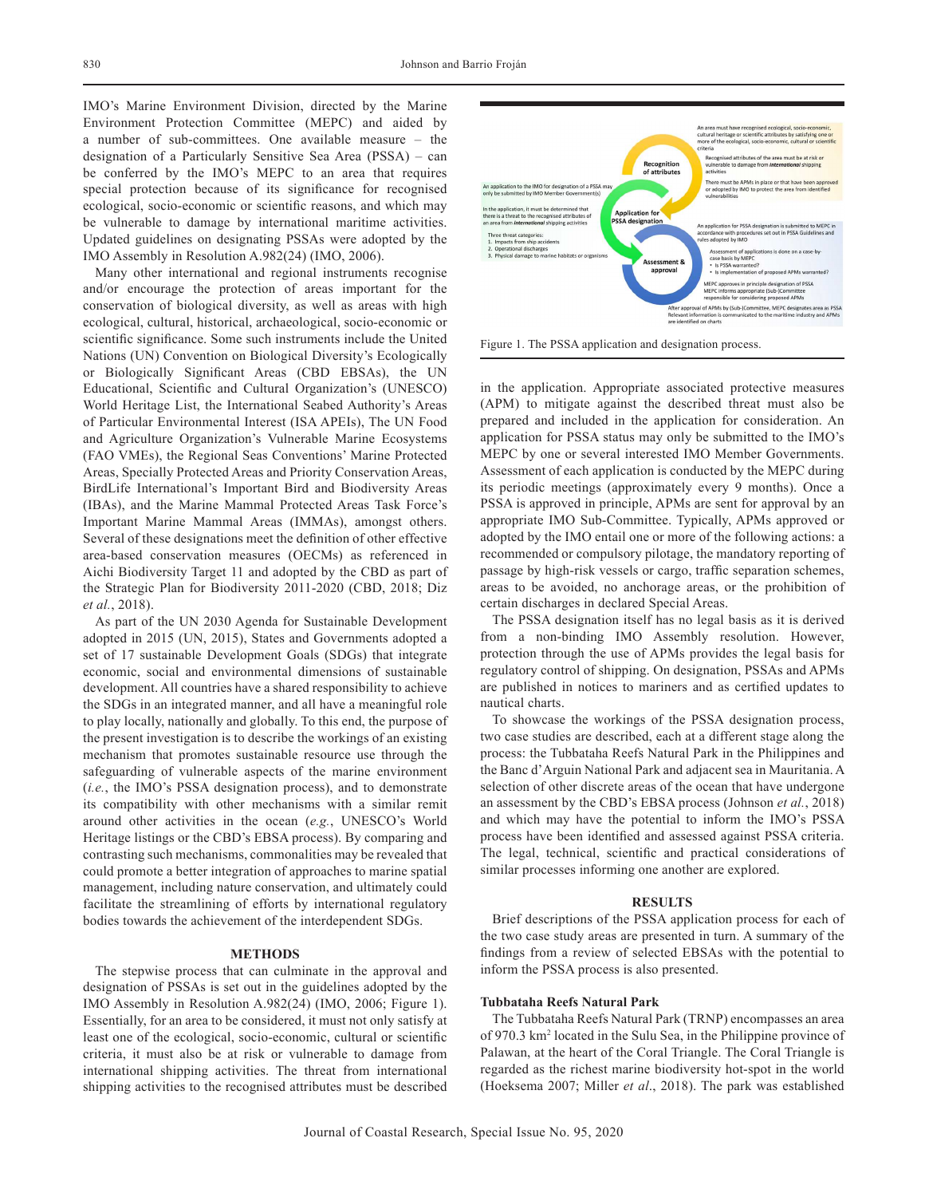IMO's Marine Environment Division, directed by the Marine Environment Protection Committee (MEPC) and aided by a number of sub-committees. One available measure – the designation of a Particularly Sensitive Sea Area (PSSA) – can be conferred by the IMO's MEPC to an area that requires special protection because of its significance for recognised ecological, socio-economic or scientific reasons, and which may be vulnerable to damage by international maritime activities. Updated guidelines on designating PSSAs were adopted by the IMO Assembly in Resolution A.982(24) (IMO, 2006).

Many other international and regional instruments recognise and/or encourage the protection of areas important for the conservation of biological diversity, as well as areas with high ecological, cultural, historical, archaeological, socio-economic or scientific significance. Some such instruments include the United Nations (UN) Convention on Biological Diversity's Ecologically or Biologically Significant Areas (CBD EBSAs), the UN Educational, Scientific and Cultural Organization's (UNESCO) World Heritage List, the International Seabed Authority's Areas of Particular Environmental Interest (ISA APEIs), The UN Food and Agriculture Organization's Vulnerable Marine Ecosystems (FAO VMEs), the Regional Seas Conventions' Marine Protected Areas, Specially Protected Areas and Priority Conservation Areas, BirdLife International's Important Bird and Biodiversity Areas (IBAs), and the Marine Mammal Protected Areas Task Force's Important Marine Mammal Areas (IMMAs), amongst others. Several of these designations meet the definition of other effective area-based conservation measures (OECMs) as referenced in Aichi Biodiversity Target 11 and adopted by the CBD as part of the Strategic Plan for Biodiversity 2011-2020 (CBD, 2018; Diz *et al.*, 2018).

As part of the UN 2030 Agenda for Sustainable Development adopted in 2015 (UN, 2015), States and Governments adopted a set of 17 sustainable Development Goals (SDGs) that integrate economic, social and environmental dimensions of sustainable development. All countries have a shared responsibility to achieve the SDGs in an integrated manner, and all have a meaningful role to play locally, nationally and globally. To this end, the purpose of the present investigation is to describe the workings of an existing mechanism that promotes sustainable resource use through the safeguarding of vulnerable aspects of the marine environment (*i.e.*, the IMO's PSSA designation process), and to demonstrate its compatibility with other mechanisms with a similar remit around other activities in the ocean (*e.g.*, UNESCO's World Heritage listings or the CBD's EBSA process). By comparing and contrasting such mechanisms, commonalities may be revealed that could promote a better integration of approaches to marine spatial management, including nature conservation, and ultimately could facilitate the streamlining of efforts by international regulatory bodies towards the achievement of the interdependent SDGs.

#### **METHODS**

The stepwise process that can culminate in the approval and designation of PSSAs is set out in the guidelines adopted by the IMO Assembly in Resolution A.982(24) (IMO, 2006; Figure 1). Essentially, for an area to be considered, it must not only satisfy at least one of the ecological, socio-economic, cultural or scientific criteria, it must also be at risk or vulnerable to damage from international shipping activities. The threat from international shipping activities to the recognised attributes must be described



Figure 1. The PSSA application and designation process.

in the application. Appropriate associated protective measures (APM) to mitigate against the described threat must also be prepared and included in the application for consideration. An application for PSSA status may only be submitted to the IMO's MEPC by one or several interested IMO Member Governments. Assessment of each application is conducted by the MEPC during its periodic meetings (approximately every 9 months). Once a PSSA is approved in principle, APMs are sent for approval by an appropriate IMO Sub-Committee. Typically, APMs approved or adopted by the IMO entail one or more of the following actions: a recommended or compulsory pilotage, the mandatory reporting of passage by high-risk vessels or cargo, traffic separation schemes, areas to be avoided, no anchorage areas, or the prohibition of certain discharges in declared Special Areas.

The PSSA designation itself has no legal basis as it is derived from a non-binding IMO Assembly resolution. However, protection through the use of APMs provides the legal basis for regulatory control of shipping. On designation, PSSAs and APMs are published in notices to mariners and as certified updates to nautical charts.

To showcase the workings of the PSSA designation process, two case studies are described, each at a different stage along the process: the Tubbataha Reefs Natural Park in the Philippines and the Banc d'Arguin National Park and adjacent sea in Mauritania. A selection of other discrete areas of the ocean that have undergone an assessment by the CBD's EBSA process (Johnson *et al.*, 2018) and which may have the potential to inform the IMO's PSSA process have been identified and assessed against PSSA criteria. The legal, technical, scientific and practical considerations of similar processes informing one another are explored.

## **RESULTS**

Brief descriptions of the PSSA application process for each of the two case study areas are presented in turn. A summary of the findings from a review of selected EBSAs with the potential to inform the PSSA process is also presented.

## **Tubbataha Reefs Natural Park**

The Tubbataha Reefs Natural Park (TRNP) encompasses an area of 970.3 km2 located in the Sulu Sea, in the Philippine province of Palawan, at the heart of the Coral Triangle. The Coral Triangle is regarded as the richest marine biodiversity hot-spot in the world (Hoeksema 2007; Miller *et al*., 2018). The park was established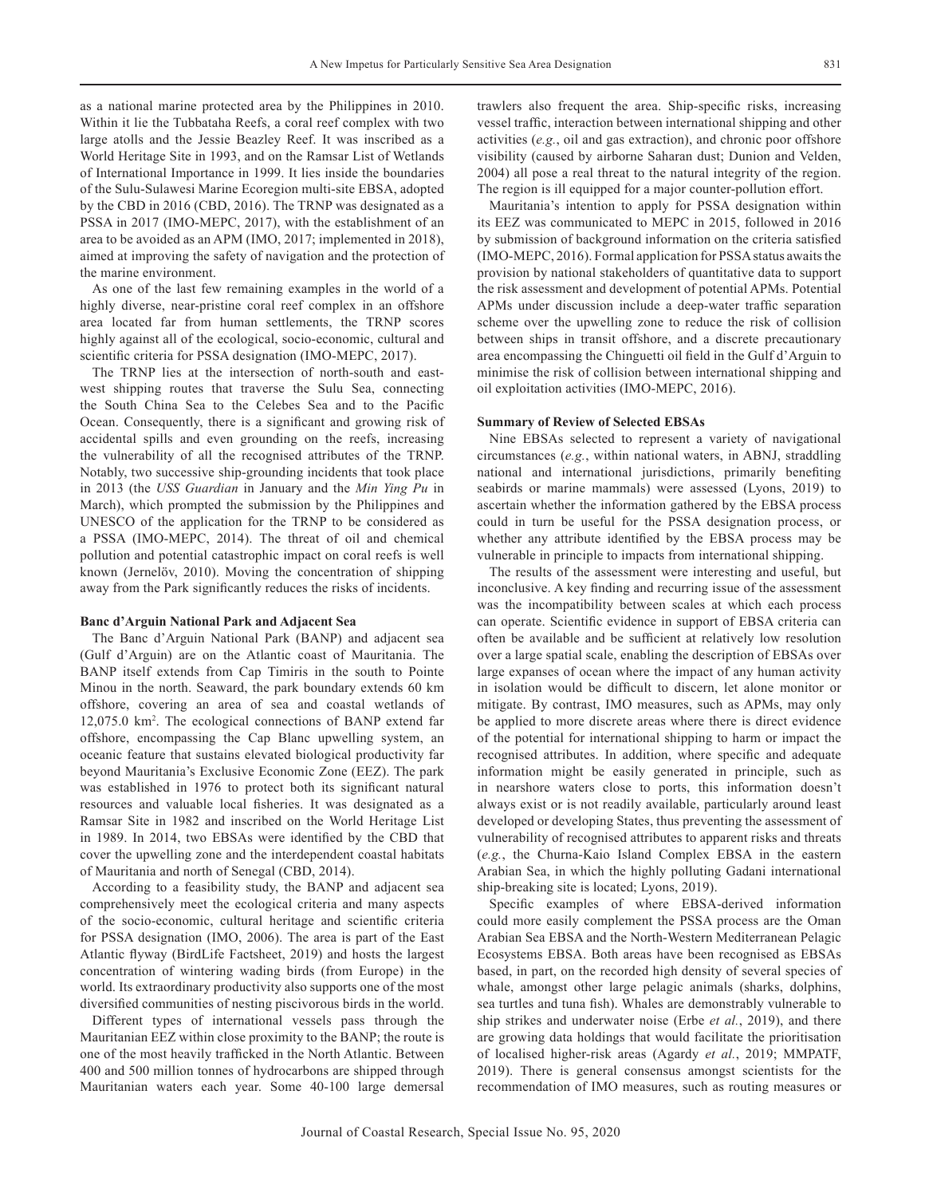as a national marine protected area by the Philippines in 2010. Within it lie the Tubbataha Reefs, a coral reef complex with two large atolls and the Jessie Beazley Reef. It was inscribed as a World Heritage Site in 1993, and on the Ramsar List of Wetlands of International Importance in 1999. It lies inside the boundaries of the Sulu-Sulawesi Marine Ecoregion multi-site EBSA, adopted by the CBD in 2016 (CBD, 2016). The TRNP was designated as a PSSA in 2017 (IMO-MEPC, 2017), with the establishment of an area to be avoided as an APM (IMO, 2017; implemented in 2018), aimed at improving the safety of navigation and the protection of the marine environment.

As one of the last few remaining examples in the world of a highly diverse, near-pristine coral reef complex in an offshore area located far from human settlements, the TRNP scores highly against all of the ecological, socio-economic, cultural and scientific criteria for PSSA designation (IMO-MEPC, 2017).

The TRNP lies at the intersection of north-south and eastwest shipping routes that traverse the Sulu Sea, connecting the South China Sea to the Celebes Sea and to the Pacific Ocean. Consequently, there is a significant and growing risk of accidental spills and even grounding on the reefs, increasing the vulnerability of all the recognised attributes of the TRNP. Notably, two successive ship-grounding incidents that took place in 2013 (the *USS Guardian* in January and the *Min Ying Pu* in March), which prompted the submission by the Philippines and UNESCO of the application for the TRNP to be considered as a PSSA (IMO-MEPC, 2014). The threat of oil and chemical pollution and potential catastrophic impact on coral reefs is well known (Jernelöv, 2010). Moving the concentration of shipping away from the Park significantly reduces the risks of incidents.

## **Banc d'Arguin National Park and Adjacent Sea**

The Banc d'Arguin National Park (BANP) and adjacent sea (Gulf d'Arguin) are on the Atlantic coast of Mauritania. The BANP itself extends from Cap Timiris in the south to Pointe Minou in the north. Seaward, the park boundary extends 60 km offshore, covering an area of sea and coastal wetlands of 12,075.0 km2 . The ecological connections of BANP extend far offshore, encompassing the Cap Blanc upwelling system, an oceanic feature that sustains elevated biological productivity far beyond Mauritania's Exclusive Economic Zone (EEZ). The park was established in 1976 to protect both its significant natural resources and valuable local fisheries. It was designated as a Ramsar Site in 1982 and inscribed on the World Heritage List in 1989. In 2014, two EBSAs were identified by the CBD that cover the upwelling zone and the interdependent coastal habitats of Mauritania and north of Senegal (CBD, 2014).

According to a feasibility study, the BANP and adjacent sea comprehensively meet the ecological criteria and many aspects of the socio-economic, cultural heritage and scientific criteria for PSSA designation (IMO, 2006). The area is part of the East Atlantic flyway (BirdLife Factsheet, 2019) and hosts the largest concentration of wintering wading birds (from Europe) in the world. Its extraordinary productivity also supports one of the most diversified communities of nesting piscivorous birds in the world.

Different types of international vessels pass through the Mauritanian EEZ within close proximity to the BANP; the route is one of the most heavily trafficked in the North Atlantic. Between 400 and 500 million tonnes of hydrocarbons are shipped through Mauritanian waters each year. Some 40-100 large demersal

trawlers also frequent the area. Ship-specific risks, increasing vessel traffic, interaction between international shipping and other activities (*e.g.*, oil and gas extraction), and chronic poor offshore visibility (caused by airborne Saharan dust; Dunion and Velden, 2004) all pose a real threat to the natural integrity of the region. The region is ill equipped for a major counter-pollution effort.

Mauritania's intention to apply for PSSA designation within its EEZ was communicated to MEPC in 2015, followed in 2016 by submission of background information on the criteria satisfied (IMO-MEPC, 2016). Formal application for PSSA status awaits the provision by national stakeholders of quantitative data to support the risk assessment and development of potential APMs. Potential APMs under discussion include a deep-water traffic separation scheme over the upwelling zone to reduce the risk of collision between ships in transit offshore, and a discrete precautionary area encompassing the Chinguetti oil field in the Gulf d'Arguin to minimise the risk of collision between international shipping and oil exploitation activities (IMO-MEPC, 2016).

## **Summary of Review of Selected EBSAs**

Nine EBSAs selected to represent a variety of navigational circumstances (*e.g.*, within national waters, in ABNJ, straddling national and international jurisdictions, primarily benefiting seabirds or marine mammals) were assessed (Lyons, 2019) to ascertain whether the information gathered by the EBSA process could in turn be useful for the PSSA designation process, or whether any attribute identified by the EBSA process may be vulnerable in principle to impacts from international shipping.

The results of the assessment were interesting and useful, but inconclusive. A key finding and recurring issue of the assessment was the incompatibility between scales at which each process can operate. Scientific evidence in support of EBSA criteria can often be available and be sufficient at relatively low resolution over a large spatial scale, enabling the description of EBSAs over large expanses of ocean where the impact of any human activity in isolation would be difficult to discern, let alone monitor or mitigate. By contrast, IMO measures, such as APMs, may only be applied to more discrete areas where there is direct evidence of the potential for international shipping to harm or impact the recognised attributes. In addition, where specific and adequate information might be easily generated in principle, such as in nearshore waters close to ports, this information doesn't always exist or is not readily available, particularly around least developed or developing States, thus preventing the assessment of vulnerability of recognised attributes to apparent risks and threats (*e.g.*, the Churna-Kaio Island Complex EBSA in the eastern Arabian Sea, in which the highly polluting Gadani international ship-breaking site is located; Lyons, 2019).

Specific examples of where EBSA-derived information could more easily complement the PSSA process are the Oman Arabian Sea EBSA and the North-Western Mediterranean Pelagic Ecosystems EBSA. Both areas have been recognised as EBSAs based, in part, on the recorded high density of several species of whale, amongst other large pelagic animals (sharks, dolphins, sea turtles and tuna fish). Whales are demonstrably vulnerable to ship strikes and underwater noise (Erbe *et al.*, 2019), and there are growing data holdings that would facilitate the prioritisation of localised higher-risk areas (Agardy *et al.*, 2019; MMPATF, 2019). There is general consensus amongst scientists for the recommendation of IMO measures, such as routing measures or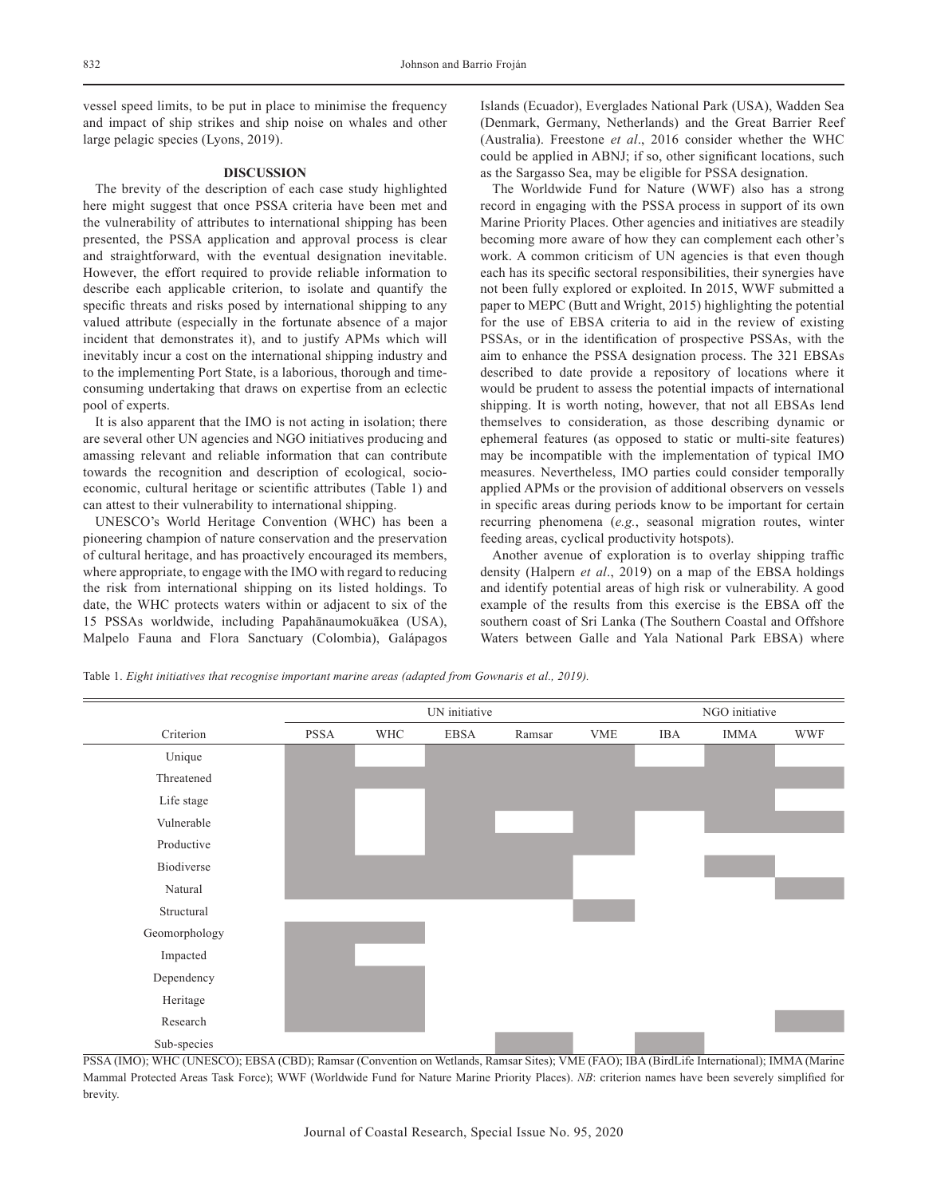vessel speed limits, to be put in place to minimise the frequency and impact of ship strikes and ship noise on whales and other large pelagic species (Lyons, 2019).

## **DISCUSSION**

The brevity of the description of each case study highlighted here might suggest that once PSSA criteria have been met and the vulnerability of attributes to international shipping has been presented, the PSSA application and approval process is clear and straightforward, with the eventual designation inevitable. However, the effort required to provide reliable information to describe each applicable criterion, to isolate and quantify the specific threats and risks posed by international shipping to any valued attribute (especially in the fortunate absence of a major incident that demonstrates it), and to justify APMs which will inevitably incur a cost on the international shipping industry and to the implementing Port State, is a laborious, thorough and timeconsuming undertaking that draws on expertise from an eclectic pool of experts.

It is also apparent that the IMO is not acting in isolation; there are several other UN agencies and NGO initiatives producing and amassing relevant and reliable information that can contribute towards the recognition and description of ecological, socioeconomic, cultural heritage or scientific attributes (Table 1) and can attest to their vulnerability to international shipping.

UNESCO's World Heritage Convention (WHC) has been a pioneering champion of nature conservation and the preservation of cultural heritage, and has proactively encouraged its members, where appropriate, to engage with the IMO with regard to reducing the risk from international shipping on its listed holdings. To date, the WHC protects waters within or adjacent to six of the 15 PSSAs worldwide, including Papahānaumokuākea (USA), Malpelo Fauna and Flora Sanctuary (Colombia), Galápagos Islands (Ecuador), Everglades National Park (USA), Wadden Sea (Denmark, Germany, Netherlands) and the Great Barrier Reef (Australia). Freestone *et al*., 2016 consider whether the WHC could be applied in ABNJ; if so, other significant locations, such as the Sargasso Sea, may be eligible for PSSA designation.

The Worldwide Fund for Nature (WWF) also has a strong record in engaging with the PSSA process in support of its own Marine Priority Places. Other agencies and initiatives are steadily becoming more aware of how they can complement each other's work. A common criticism of UN agencies is that even though each has its specific sectoral responsibilities, their synergies have not been fully explored or exploited. In 2015, WWF submitted a paper to MEPC (Butt and Wright, 2015) highlighting the potential for the use of EBSA criteria to aid in the review of existing PSSAs, or in the identification of prospective PSSAs, with the aim to enhance the PSSA designation process. The 321 EBSAs described to date provide a repository of locations where it would be prudent to assess the potential impacts of international shipping. It is worth noting, however, that not all EBSAs lend themselves to consideration, as those describing dynamic or ephemeral features (as opposed to static or multi-site features) may be incompatible with the implementation of typical IMO measures. Nevertheless, IMO parties could consider temporally applied APMs or the provision of additional observers on vessels in specific areas during periods know to be important for certain recurring phenomena (*e.g.*, seasonal migration routes, winter feeding areas, cyclical productivity hotspots).

Another avenue of exploration is to overlay shipping traffic density (Halpern *et al*., 2019) on a map of the EBSA holdings and identify potential areas of high risk or vulnerability. A good example of the results from this exercise is the EBSA off the southern coast of Sri Lanka (The Southern Coastal and Offshore Waters between Galle and Yala National Park EBSA) where

Table 1. *Eight initiatives that recognise important marine areas (adapted from Gownaris et al., 2019).*



PSSA (IMO); WHC (UNESCO); EBSA (CBD); Ramsar (Convention on Wetlands, Ramsar Sites); VME (FAO); IBA (BirdLife International); IMMA (Marine Mammal Protected Areas Task Force); WWF (Worldwide Fund for Nature Marine Priority Places). *NB*: criterion names have been severely simplified for brevity.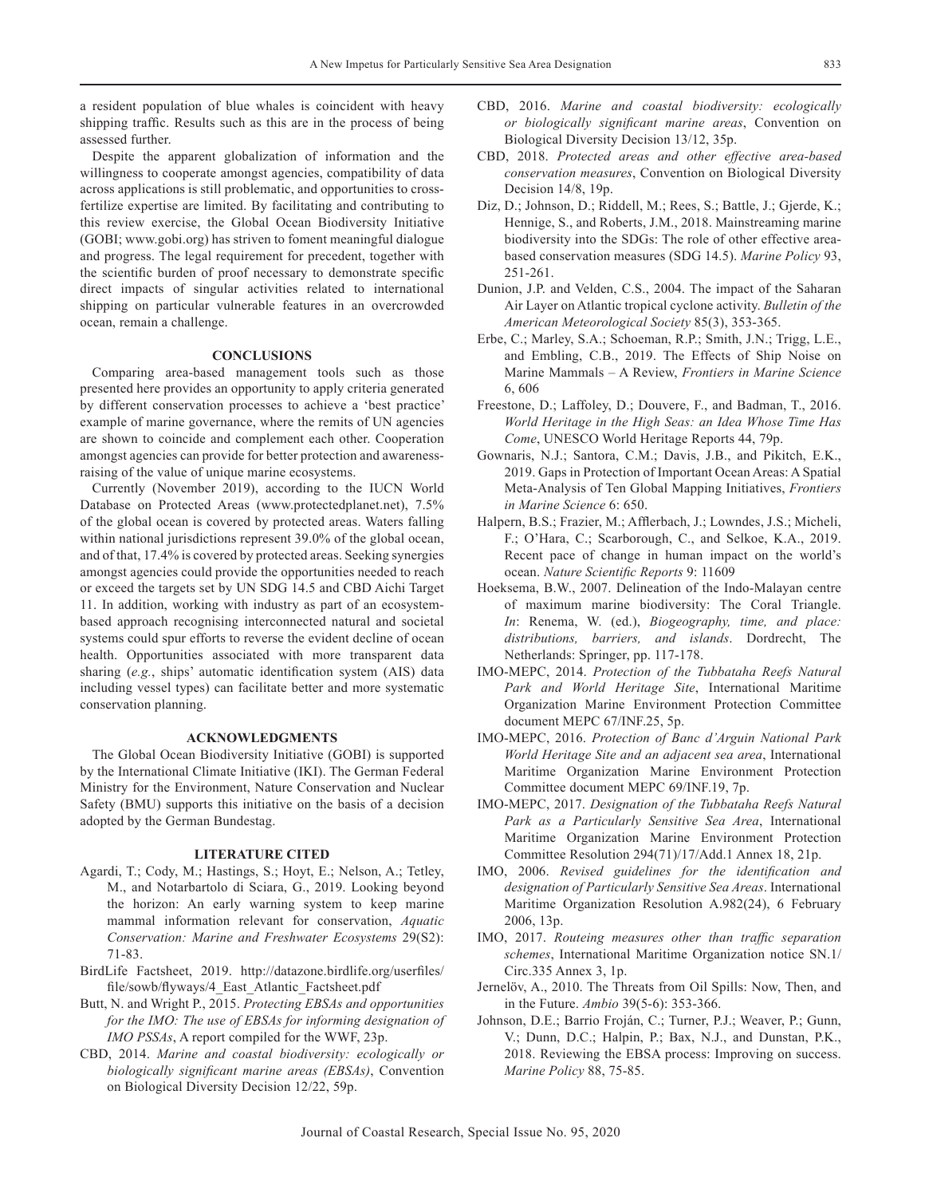a resident population of blue whales is coincident with heavy shipping traffic. Results such as this are in the process of being assessed further.

Despite the apparent globalization of information and the willingness to cooperate amongst agencies, compatibility of data across applications is still problematic, and opportunities to crossfertilize expertise are limited. By facilitating and contributing to this review exercise, the Global Ocean Biodiversity Initiative (GOBI; www.gobi.org) has striven to foment meaningful dialogue and progress. The legal requirement for precedent, together with the scientific burden of proof necessary to demonstrate specific direct impacts of singular activities related to international shipping on particular vulnerable features in an overcrowded ocean, remain a challenge.

## **CONCLUSIONS**

Comparing area-based management tools such as those presented here provides an opportunity to apply criteria generated by different conservation processes to achieve a 'best practice' example of marine governance, where the remits of UN agencies are shown to coincide and complement each other. Cooperation amongst agencies can provide for better protection and awarenessraising of the value of unique marine ecosystems.

Currently (November 2019), according to the IUCN World Database on Protected Areas (www.protectedplanet.net), 7.5% of the global ocean is covered by protected areas. Waters falling within national jurisdictions represent 39.0% of the global ocean, and of that, 17.4% is covered by protected areas. Seeking synergies amongst agencies could provide the opportunities needed to reach or exceed the targets set by UN SDG 14.5 and CBD Aichi Target 11. In addition, working with industry as part of an ecosystembased approach recognising interconnected natural and societal systems could spur efforts to reverse the evident decline of ocean health. Opportunities associated with more transparent data sharing (*e.g.*, ships' automatic identification system (AIS) data including vessel types) can facilitate better and more systematic conservation planning.

## **ACKNOWLEDGMENTS**

The Global Ocean Biodiversity Initiative (GOBI) is supported by the International Climate Initiative (IKI). The German Federal Ministry for the Environment, Nature Conservation and Nuclear Safety (BMU) supports this initiative on the basis of a decision adopted by the German Bundestag.

# **LITERATURE CITED**

- Agardi, T.; Cody, M.; Hastings, S.; Hoyt, E.; Nelson, A.; Tetley, M., and Notarbartolo di Sciara, G., 2019. Looking beyond the horizon: An early warning system to keep marine mammal information relevant for conservation, *Aquatic Conservation: Marine and Freshwater Ecosystems* 29(S2): 71-83.
- BirdLife Factsheet, 2019. http://datazone.birdlife.org/userfiles/ file/sowb/flyways/4\_East\_Atlantic\_Factsheet.pdf
- Butt, N. and Wright P., 2015. *Protecting EBSAs and opportunities for the IMO: The use of EBSAs for informing designation of IMO PSSAs*, A report compiled for the WWF, 23p.
- CBD, 2014. *Marine and coastal biodiversity: ecologically or biologically significant marine areas (EBSAs)*, Convention on Biological Diversity Decision 12/22, 59p.
- CBD, 2016. *Marine and coastal biodiversity: ecologically or biologically significant marine areas*, Convention on Biological Diversity Decision 13/12, 35p.
- CBD, 2018. *Protected areas and other effective area-based conservation measures*, Convention on Biological Diversity Decision 14/8, 19p.
- Diz, D.; Johnson, D.; Riddell, M.; Rees, S.; Battle, J.; Gjerde, K.; Hennige, S., and Roberts, J.M., 2018. Mainstreaming marine biodiversity into the SDGs: The role of other effective areabased conservation measures (SDG 14.5). *Marine Policy* 93, 251-261.
- Dunion, J.P. and Velden, C.S., 2004. The impact of the Saharan Air Layer on Atlantic tropical cyclone activity. *Bulletin of the American Meteorological Society* 85(3), 353-365.
- Erbe, C.; Marley, S.A.; Schoeman, R.P.; Smith, J.N.; Trigg, L.E., and Embling, C.B., 2019. The Effects of Ship Noise on Marine Mammals – A Review, *Frontiers in Marine Science*  6, 606
- Freestone, D.; Laffoley, D.; Douvere, F., and Badman, T., 2016. *World Heritage in the High Seas: an Idea Whose Time Has Come*, UNESCO World Heritage Reports 44, 79p.
- Gownaris, N.J.; Santora, C.M.; Davis, J.B., and Pikitch, E.K., 2019. Gaps in Protection of Important Ocean Areas: A Spatial Meta-Analysis of Ten Global Mapping Initiatives, *Frontiers in Marine Science* 6: 650.
- Halpern, B.S.; Frazier, M.; Afflerbach, J.; Lowndes, J.S.; Micheli, F.; O'Hara, C.; Scarborough, C., and Selkoe, K.A., 2019. Recent pace of change in human impact on the world's ocean. *Nature Scientific Reports* 9: 11609
- Hoeksema, B.W., 2007. Delineation of the Indo-Malayan centre of maximum marine biodiversity: The Coral Triangle. *In*: Renema, W. (ed.), *Biogeography, time, and place: distributions, barriers, and islands*. Dordrecht, The Netherlands: Springer, pp. 117-178.
- IMO-MEPC, 2014. *Protection of the Tubbataha Reefs Natural Park and World Heritage Site*, International Maritime Organization Marine Environment Protection Committee document MEPC 67/INF.25, 5p.
- IMO-MEPC, 2016. *Protection of Banc d'Arguin National Park World Heritage Site and an adjacent sea area*, International Maritime Organization Marine Environment Protection Committee document MEPC 69/INF.19, 7p.
- IMO-MEPC, 2017. *Designation of the Tubbataha Reefs Natural Park as a Particularly Sensitive Sea Area*, International Maritime Organization Marine Environment Protection Committee Resolution 294(71)/17/Add.1 Annex 18, 21p.
- IMO, 2006. *Revised guidelines for the identification and designation of Particularly Sensitive Sea Areas*. International Maritime Organization Resolution A.982(24), 6 February 2006, 13p.
- IMO, 2017. *Routeing measures other than traffic separation schemes*, International Maritime Organization notice SN.1/ Circ.335 Annex 3, 1p.
- Jernelöv, A., 2010. The Threats from Oil Spills: Now, Then, and in the Future. *Ambio* 39(5-6): 353-366.
- Johnson, D.E.; Barrio Froján, C.; Turner, P.J.; Weaver, P.; Gunn, V.; Dunn, D.C.; Halpin, P.; Bax, N.J., and Dunstan, P.K., 2018. Reviewing the EBSA process: Improving on success. *Marine Policy* 88, 75-85.